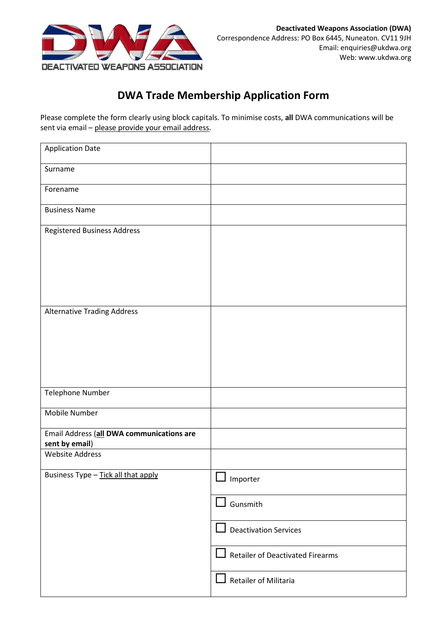

## **DWA Trade Membership Application Form**

Please complete the form clearly using block capitals. To minimise costs, **all** DWA communications will be sent via email - please provide your email address.

| <b>Application Date</b>                                     |                                  |
|-------------------------------------------------------------|----------------------------------|
| Surname                                                     |                                  |
| Forename                                                    |                                  |
| <b>Business Name</b>                                        |                                  |
| <b>Registered Business Address</b>                          |                                  |
|                                                             |                                  |
|                                                             |                                  |
|                                                             |                                  |
| <b>Alternative Trading Address</b>                          |                                  |
|                                                             |                                  |
|                                                             |                                  |
|                                                             |                                  |
| Telephone Number                                            |                                  |
| Mobile Number                                               |                                  |
| Email Address (all DWA communications are<br>sent by email) |                                  |
| <b>Website Address</b>                                      |                                  |
| Business Type - Tick all that apply                         | $\Box$ Importer                  |
|                                                             | Gunsmith                         |
|                                                             | $\Box$ Deactivation Services     |
|                                                             | Retailer of Deactivated Firearms |
|                                                             | LΙ<br>Retailer of Militaria      |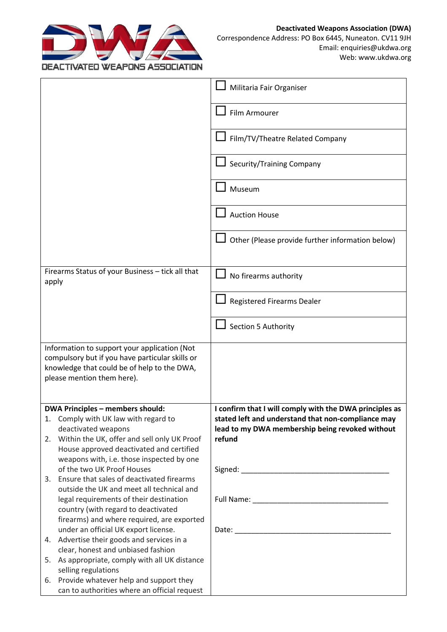

|       |                                                                                                                                                                              | Militaria Fair Organiser                                |
|-------|------------------------------------------------------------------------------------------------------------------------------------------------------------------------------|---------------------------------------------------------|
|       |                                                                                                                                                                              | Film Armourer                                           |
|       |                                                                                                                                                                              | Film/TV/Theatre Related Company                         |
|       |                                                                                                                                                                              | Security/Training Company                               |
|       |                                                                                                                                                                              | Museum                                                  |
|       |                                                                                                                                                                              | <b>Auction House</b>                                    |
|       |                                                                                                                                                                              | Other (Please provide further information below)        |
|       |                                                                                                                                                                              |                                                         |
| apply | Firearms Status of your Business - tick all that                                                                                                                             | No firearms authority                                   |
|       |                                                                                                                                                                              | <b>Registered Firearms Dealer</b>                       |
|       |                                                                                                                                                                              | Section 5 Authority                                     |
|       | Information to support your application (Not<br>compulsory but if you have particular skills or<br>knowledge that could be of help to the DWA,<br>please mention them here). |                                                         |
|       | <b>DWA Principles - members should:</b>                                                                                                                                      | I confirm that I will comply with the DWA principles as |
|       | 1. Comply with UK law with regard to                                                                                                                                         | stated left and understand that non-compliance may      |
|       | deactivated weapons                                                                                                                                                          | lead to my DWA membership being revoked without         |
| 2.    | Within the UK, offer and sell only UK Proof                                                                                                                                  | refund                                                  |
|       | House approved deactivated and certified                                                                                                                                     |                                                         |
|       | weapons with, i.e. those inspected by one<br>of the two UK Proof Houses                                                                                                      |                                                         |
| 3.    | Ensure that sales of deactivated firearms                                                                                                                                    |                                                         |
|       | outside the UK and meet all technical and                                                                                                                                    |                                                         |
|       | legal requirements of their destination                                                                                                                                      |                                                         |
|       | country (with regard to deactivated                                                                                                                                          |                                                         |
|       | firearms) and where required, are exported<br>under an official UK export license.                                                                                           |                                                         |
|       | 4. Advertise their goods and services in a                                                                                                                                   |                                                         |
|       | clear, honest and unbiased fashion                                                                                                                                           |                                                         |
| 5.    | As appropriate, comply with all UK distance<br>selling regulations                                                                                                           |                                                         |
| 6.    | Provide whatever help and support they                                                                                                                                       |                                                         |
|       | can to authorities where an official request                                                                                                                                 |                                                         |